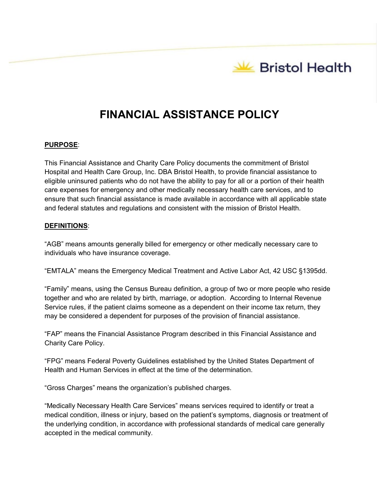# **FINANCIAL ASSISTANCE POLICY**

# **PURPOSE**:

This Financial Assistance and Charity Care Policy documents the commitment of Bristol Hospital and Health Care Group, Inc. DBA Bristol Health, to provide financial assistance to eligible uninsured patients who do not have the ability to pay for all or a portion of their health care expenses for emergency and other medically necessary health care services, and to ensure that such financial assistance is made available in accordance with all applicable state and federal statutes and regulations and consistent with the mission of Bristol Health.

### **DEFINITIONS**:

"AGB" means amounts generally billed for emergency or other medically necessary care to individuals who have insurance coverage.

"EMTALA" means the Emergency Medical Treatment and Active Labor Act, 42 USC §1395dd.

"Family" means, using the Census Bureau definition, a group of two or more people who reside together and who are related by birth, marriage, or adoption. According to Internal Revenue Service rules, if the patient claims someone as a dependent on their income tax return, they may be considered a dependent for purposes of the provision of financial assistance.

"FAP" means the Financial Assistance Program described in this Financial Assistance and Charity Care Policy.

"FPG" means Federal Poverty Guidelines established by the United States Department of Health and Human Services in effect at the time of the determination.

"Gross Charges" means the organization's published charges.

"Medically Necessary Health Care Services" means services required to identify or treat a medical condition, illness or injury, based on the patient's symptoms, diagnosis or treatment of the underlying condition, in accordance with professional standards of medical care generally accepted in the medical community.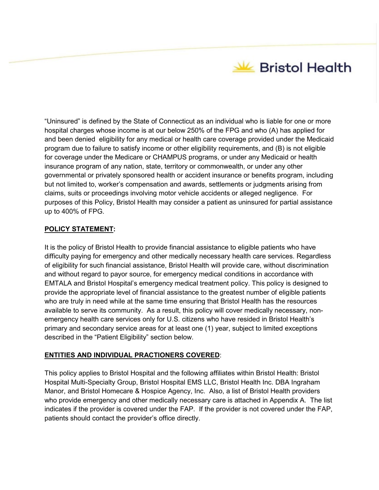**State Bristol Health** 

"Uninsured" is defined by the State of Connecticut as an individual who is liable for one or more hospital charges whose income is at our below 250% of the FPG and who (A) has applied for and been denied eligibility for any medical or health care coverage provided under the Medicaid program due to failure to satisfy income or other eligibility requirements, and (B) is not eligible for coverage under the Medicare or CHAMPUS programs, or under any Medicaid or health insurance program of any nation, state, territory or commonwealth, or under any other governmental or privately sponsored health or accident insurance or benefits program, including but not limited to, worker's compensation and awards, settlements or judgments arising from claims, suits or proceedings involving motor vehicle accidents or alleged negligence. For purposes of this Policy, Bristol Health may consider a patient as uninsured for partial assistance up to 400% of FPG.

# **POLICY STATEMENT:**

It is the policy of Bristol Health to provide financial assistance to eligible patients who have difficulty paying for emergency and other medically necessary health care services. Regardless of eligibility for such financial assistance, Bristol Health will provide care, without discrimination and without regard to payor source, for emergency medical conditions in accordance with EMTALA and Bristol Hospital's emergency medical treatment policy. This policy is designed to provide the appropriate level of financial assistance to the greatest number of eligible patients who are truly in need while at the same time ensuring that Bristol Health has the resources available to serve its community. As a result, this policy will cover medically necessary, nonemergency health care services only for U.S. citizens who have resided in Bristol Health's primary and secondary service areas for at least one (1) year, subject to limited exceptions described in the "Patient Eligibility" section below.

# **ENTITIES AND INDIVIDUAL PRACTIONERS COVERED**:

This policy applies to Bristol Hospital and the following affiliates within Bristol Health: Bristol Hospital Multi-Specialty Group, Bristol Hospital EMS LLC, Bristol Health Inc. DBA Ingraham Manor, and Bristol Homecare & Hospice Agency, Inc. Also, a list of Bristol Health providers who provide emergency and other medically necessary care is attached in Appendix A. The list indicates if the provider is covered under the FAP. If the provider is not covered under the FAP, patients should contact the provider's office directly.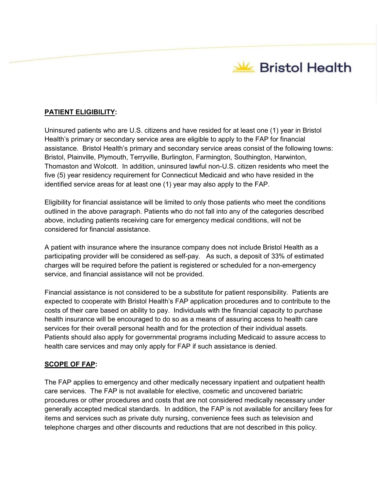**Stristol Health** 

## **PATIENT ELIGIBILITY:**

Uninsured patients who are U.S. citizens and have resided for at least one (1) year in Bristol Health's primary or secondary service area are eligible to apply to the FAP for financial assistance. Bristol Health's primary and secondary service areas consist of the following towns: Bristol, Plainville, Plymouth, Terryville, Burlington, Farmington, Southington, Harwinton, Thomaston and Wolcott. In addition, uninsured lawful non-U.S. citizen residents who meet the five (5) year residency requirement for Connecticut Medicaid and who have resided in the identified service areas for at least one (1) year may also apply to the FAP.

Eligibility for financial assistance will be limited to only those patients who meet the conditions outlined in the above paragraph. Patients who do not fall into any of the categories described above, including patients receiving care for emergency medical conditions, will not be considered for financial assistance.

A patient with insurance where the insurance company does not include Bristol Health as a participating provider will be considered as self-pay. As such, a deposit of 33% of estimated charges will be required before the patient is registered or scheduled for a non-emergency service, and financial assistance will not be provided.

Financial assistance is not considered to be a substitute for patient responsibility. Patients are expected to cooperate with Bristol Health's FAP application procedures and to contribute to the costs of their care based on ability to pay. Individuals with the financial capacity to purchase health insurance will be encouraged to do so as a means of assuring access to health care services for their overall personal health and for the protection of their individual assets. Patients should also apply for governmental programs including Medicaid to assure access to health care services and may only apply for FAP if such assistance is denied.

### **SCOPE OF FAP:**

The FAP applies to emergency and other medically necessary inpatient and outpatient health care services. The FAP is not available for elective, cosmetic and uncovered bariatric procedures or other procedures and costs that are not considered medically necessary under generally accepted medical standards. In addition, the FAP is not available for ancillary fees for items and services such as private duty nursing, convenience fees such as television and telephone charges and other discounts and reductions that are not described in this policy.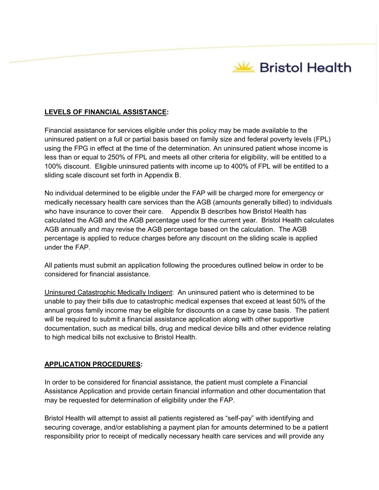

## **LEVELS OF FINANCIAL ASSISTANCE:**

Financial assistance for services eligible under this policy may be made available to the uninsured patient on a full or partial basis based on family size and federal poverty levels (FPL) using the FPG in effect at the time of the determination. An uninsured patient whose income is less than or equal to 250% of FPL and meets all other criteria for eligibility, will be entitled to a 100% discount. Eligible uninsured patients with income up to 400% of FPL will be entitled to a sliding scale discount set forth in Appendix B.

No individual determined to be eligible under the FAP will be charged more for emergency or medically necessary health care services than the AGB (amounts generally billed) to individuals who have insurance to cover their care. Appendix B describes how Bristol Health has calculated the AGB and the AGB percentage used for the current year. Bristol Health calculates AGB annually and may revise the AGB percentage based on the calculation. The AGB percentage is applied to reduce charges before any discount on the sliding scale is applied under the FAP.

All patients must submit an application following the procedures outlined below in order to be considered for financial assistance.

Uninsured Catastrophic Medically Indigent: An uninsured patient who is determined to be unable to pay their bills due to catastrophic medical expenses that exceed at least 50% of the annual gross family income may be eligible for discounts on a case by case basis. The patient will be required to submit a financial assistance application along with other supportive documentation, such as medical bills, drug and medical device bills and other evidence relating to high medical bills not exclusive to Bristol Health.

### **APPLICATION PROCEDURES:**

In order to be considered for financial assistance, the patient must complete a Financial Assistance Application and provide certain financial information and other documentation that may be requested for determination of eligibility under the FAP.

Bristol Health will attempt to assist all patients registered as "self-pay" with identifying and securing coverage, and/or establishing a payment plan for amounts determined to be a patient responsibility prior to receipt of medically necessary health care services and will provide any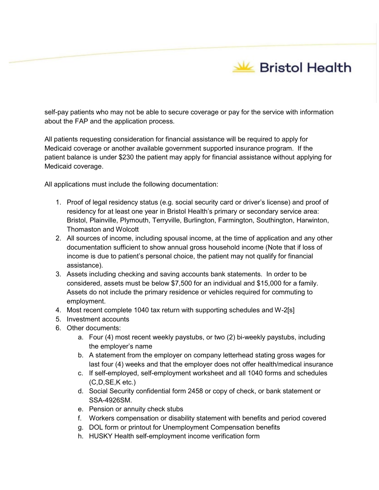self-pay patients who may not be able to secure coverage or pay for the service with information about the FAP and the application process.

All patients requesting consideration for financial assistance will be required to apply for Medicaid coverage or another available government supported insurance program. If the patient balance is under \$230 the patient may apply for financial assistance without applying for Medicaid coverage.

All applications must include the following documentation:

- 1. Proof of legal residency status (e.g. social security card or driver's license) and proof of residency for at least one year in Bristol Health's primary or secondary service area: Bristol, Plainville, Plymouth, Terryville, Burlington, Farmington, Southington, Harwinton, Thomaston and Wolcott
- 2. All sources of income, including spousal income, at the time of application and any other documentation sufficient to show annual gross household income (Note that if loss of income is due to patient's personal choice, the patient may not qualify for financial assistance).
- 3. Assets including checking and saving accounts bank statements. In order to be considered, assets must be below \$7,500 for an individual and \$15,000 for a family. Assets do not include the primary residence or vehicles required for commuting to employment.
- 4. Most recent complete 1040 tax return with supporting schedules and W-2[s]
- 5. Investment accounts
- 6. Other documents:
	- a. Four (4) most recent weekly paystubs, or two (2) bi-weekly paystubs, including the employer's name
	- b. A statement from the employer on company letterhead stating gross wages for last four (4) weeks and that the employer does not offer health/medical insurance
	- c. If self-employed, self-employment worksheet and all 1040 forms and schedules (C,D,SE,K etc.)
	- d. Social Security confidential form 2458 or copy of check, or bank statement or SSA-4926SM.
	- e. Pension or annuity check stubs
	- f. Workers compensation or disability statement with benefits and period covered
	- g. DOL form or printout for Unemployment Compensation benefits
	- h. HUSKY Health self-employment income verification form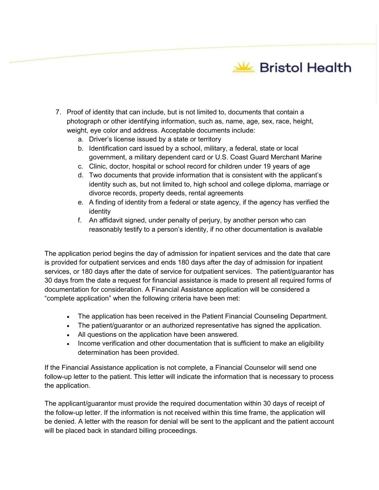

- 7. Proof of identity that can include, but is not limited to, documents that contain a photograph or other identifying information, such as, name, age, sex, race, height, weight, eye color and address. Acceptable documents include:
	- a. Driver's license issued by a state or territory
	- b. Identification card issued by a school, military, a federal, state or local government, a military dependent card or U.S. Coast Guard Merchant Marine
	- c. Clinic, doctor, hospital or school record for children under 19 years of age
	- d. Two documents that provide information that is consistent with the applicant's identity such as, but not limited to, high school and college diploma, marriage or divorce records, property deeds, rental agreements
	- e. A finding of identity from a federal or state agency, if the agency has verified the identity
	- f. An affidavit signed, under penalty of perjury, by another person who can reasonably testify to a person's identity, if no other documentation is available

The application period begins the day of admission for inpatient services and the date that care is provided for outpatient services and ends 180 days after the day of admission for inpatient services, or 180 days after the date of service for outpatient services. The patient/guarantor has 30 days from the date a request for financial assistance is made to present all required forms of documentation for consideration. A Financial Assistance application will be considered a "complete application" when the following criteria have been met:

- The application has been received in the Patient Financial Counseling Department.
- The patient/guarantor or an authorized representative has signed the application.
- All questions on the application have been answered.
- Income verification and other documentation that is sufficient to make an eligibility determination has been provided.

If the Financial Assistance application is not complete, a Financial Counselor will send one follow-up letter to the patient. This letter will indicate the information that is necessary to process the application.

The applicant/guarantor must provide the required documentation within 30 days of receipt of the follow-up letter. If the information is not received within this time frame, the application will be denied. A letter with the reason for denial will be sent to the applicant and the patient account will be placed back in standard billing proceedings.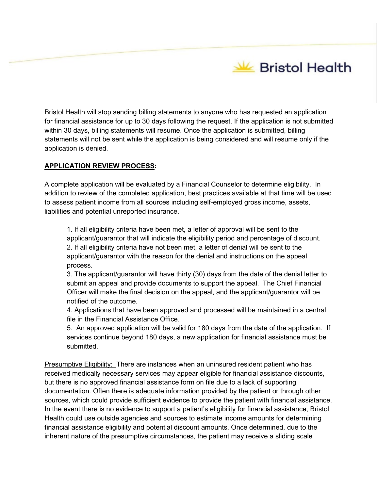Bristol Health will stop sending billing statements to anyone who has requested an application for financial assistance for up to 30 days following the request. If the application is not submitted within 30 days, billing statements will resume. Once the application is submitted, billing statements will not be sent while the application is being considered and will resume only if the application is denied.

## **APPLICATION REVIEW PROCESS:**

A complete application will be evaluated by a Financial Counselor to determine eligibility. In addition to review of the completed application, best practices available at that time will be used to assess patient income from all sources including self-employed gross income, assets, liabilities and potential unreported insurance.

1. If all eligibility criteria have been met, a letter of approval will be sent to the applicant/guarantor that will indicate the eligibility period and percentage of discount. 2. If all eligibility criteria have not been met, a letter of denial will be sent to the applicant/guarantor with the reason for the denial and instructions on the appeal process.

3. The applicant/guarantor will have thirty (30) days from the date of the denial letter to submit an appeal and provide documents to support the appeal. The Chief Financial Officer will make the final decision on the appeal, and the applicant/guarantor will be notified of the outcome.

4. Applications that have been approved and processed will be maintained in a central file in the Financial Assistance Office.

5. An approved application will be valid for 180 days from the date of the application. If services continue beyond 180 days, a new application for financial assistance must be submitted.

Presumptive Eligibility: There are instances when an uninsured resident patient who has received medically necessary services may appear eligible for financial assistance discounts, but there is no approved financial assistance form on file due to a lack of supporting documentation. Often there is adequate information provided by the patient or through other sources, which could provide sufficient evidence to provide the patient with financial assistance. In the event there is no evidence to support a patient's eligibility for financial assistance, Bristol Health could use outside agencies and sources to estimate income amounts for determining financial assistance eligibility and potential discount amounts. Once determined, due to the inherent nature of the presumptive circumstances, the patient may receive a sliding scale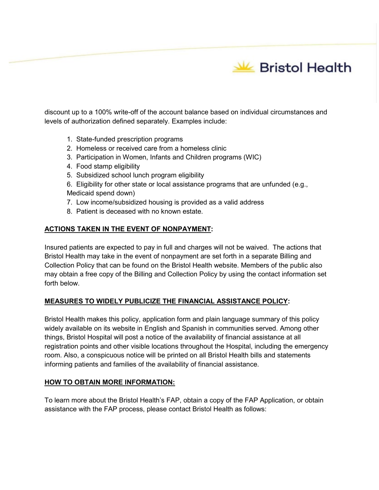discount up to a 100% write-off of the account balance based on individual circumstances and levels of authorization defined separately. Examples include:

- 1. State-funded prescription programs
- 2. Homeless or received care from a homeless clinic
- 3. Participation in Women, Infants and Children programs (WIC)
- 4. Food stamp eligibility
- 5. Subsidized school lunch program eligibility
- 6. Eligibility for other state or local assistance programs that are unfunded (e.g., Medicaid spend down)
- 7. Low income/subsidized housing is provided as a valid address
- 8. Patient is deceased with no known estate.

# **ACTIONS TAKEN IN THE EVENT OF NONPAYMENT:**

Insured patients are expected to pay in full and charges will not be waived. The actions that Bristol Health may take in the event of nonpayment are set forth in a separate Billing and Collection Policy that can be found on the Bristol Health website. Members of the public also may obtain a free copy of the Billing and Collection Policy by using the contact information set forth below.

# **MEASURES TO WIDELY PUBLICIZE THE FINANCIAL ASSISTANCE POLICY:**

Bristol Health makes this policy, application form and plain language summary of this policy widely available on its website in English and Spanish in communities served. Among other things, Bristol Hospital will post a notice of the availability of financial assistance at all registration points and other visible locations throughout the Hospital, including the emergency room. Also, a conspicuous notice will be printed on all Bristol Health bills and statements informing patients and families of the availability of financial assistance.

### **HOW TO OBTAIN MORE INFORMATION:**

To learn more about the Bristol Health's FAP, obtain a copy of the FAP Application, or obtain assistance with the FAP process, please contact Bristol Health as follows: